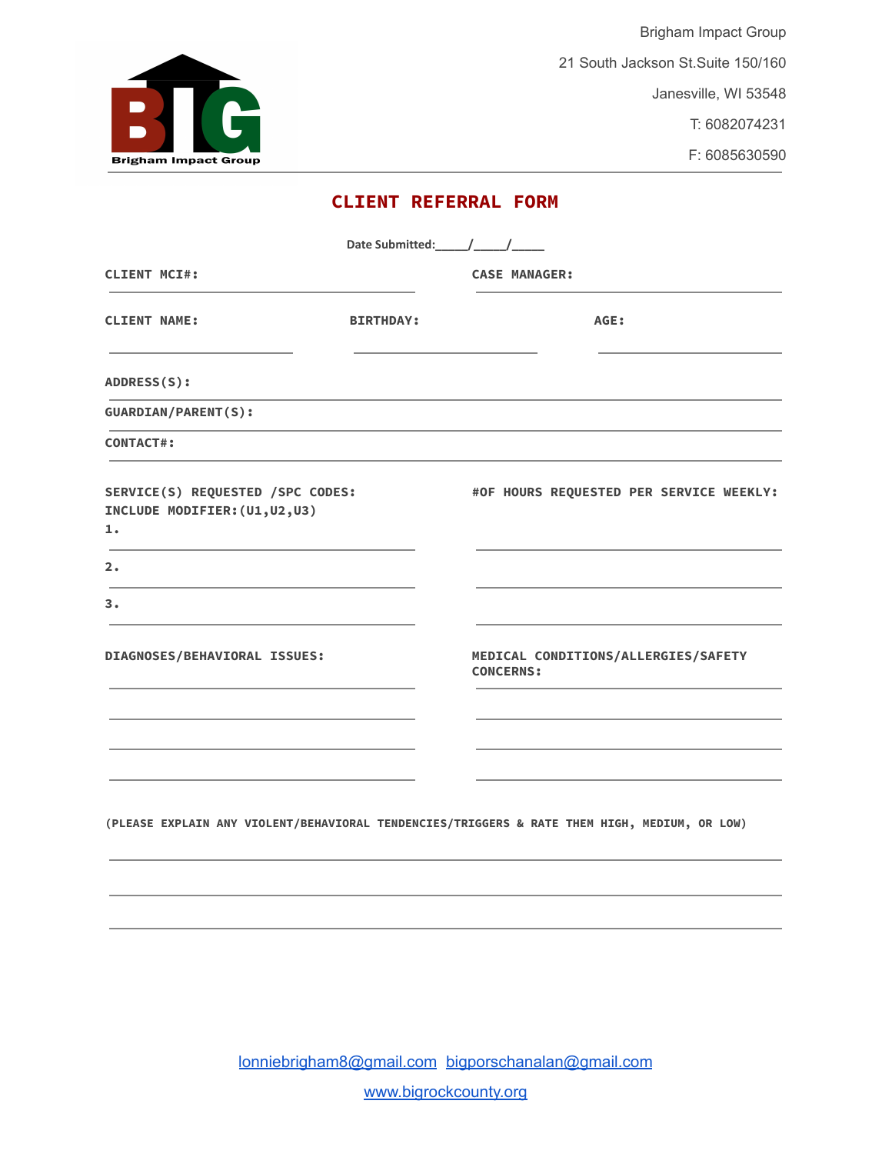

Brigham Impact Group 21 South Jackson St.Suite 150/160 Janesville, WI 53548 T: 6082074231

F: 6085630590

# **CLIENT REFERRAL FORM**

| <b>CASE MANAGER:</b><br>AGE:                                                                 |  |  |  |
|----------------------------------------------------------------------------------------------|--|--|--|
|                                                                                              |  |  |  |
|                                                                                              |  |  |  |
|                                                                                              |  |  |  |
|                                                                                              |  |  |  |
|                                                                                              |  |  |  |
| #OF HOURS REQUESTED PER SERVICE WEEKLY:                                                      |  |  |  |
|                                                                                              |  |  |  |
|                                                                                              |  |  |  |
| MEDICAL CONDITIONS/ALLERGIES/SAFETY<br><b>CONCERNS:</b>                                      |  |  |  |
|                                                                                              |  |  |  |
|                                                                                              |  |  |  |
|                                                                                              |  |  |  |
| (PLEASE EXPLAIN ANY VIOLENT/BEHAVIORAL TENDENCIES/TRIGGERS & RATE THEM HIGH, MEDIUM, OR LOW) |  |  |  |
|                                                                                              |  |  |  |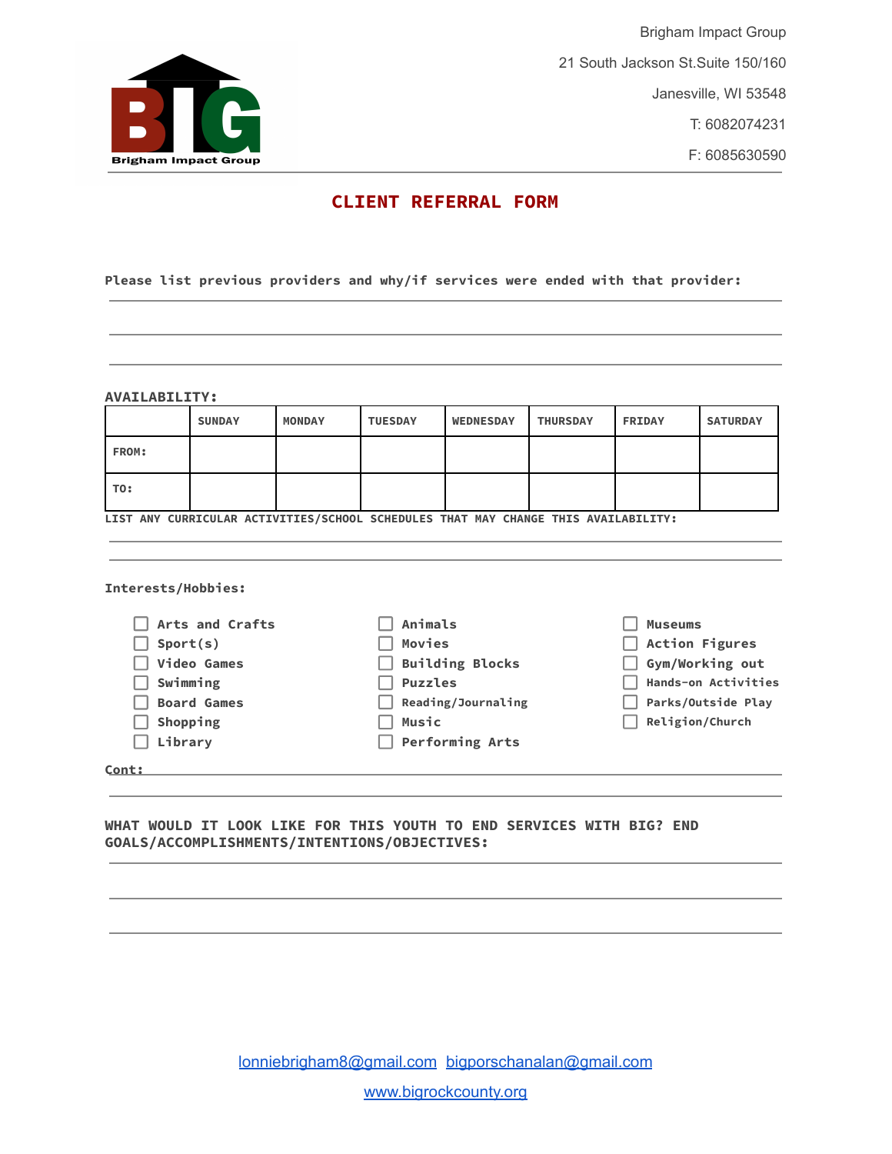

Brigham Impact Group 21 South Jackson St.Suite 150/160 Janesville, WI 53548 T: 6082074231 F: 6085630590

## **CLIENT REFERRAL FORM**

### **Please list previous providers and why/if services were ended with that provider:**

#### **AVAILABILITY:**

|                                                                                    | <b>SUNDAY</b> | <b>MONDAY</b> | <b>TUESDAY</b>         | <b>WEDNESDAY</b> | <b>THURSDAY</b> | <b>FRIDAY</b>         | <b>SATURDAY</b> |  |
|------------------------------------------------------------------------------------|---------------|---------------|------------------------|------------------|-----------------|-----------------------|-----------------|--|
| FROM:                                                                              |               |               |                        |                  |                 |                       |                 |  |
| TO:                                                                                |               |               |                        |                  |                 |                       |                 |  |
| LIST ANY CURRICULAR ACTIVITIES/SCHOOL SCHEDULES THAT MAY CHANGE THIS AVAILABILITY: |               |               |                        |                  |                 |                       |                 |  |
|                                                                                    |               |               |                        |                  |                 |                       |                 |  |
| Interests/Hobbies:                                                                 |               |               |                        |                  |                 |                       |                 |  |
| Arts and Crafts                                                                    |               |               | Animals                |                  |                 | <b>Museums</b>        |                 |  |
| Sport(s)                                                                           |               |               | Movies                 |                  |                 | <b>Action Figures</b> |                 |  |
| <b>Video Games</b>                                                                 |               |               | <b>Building Blocks</b> |                  |                 | Gym/Working out       |                 |  |
| Swimming                                                                           |               |               | <b>Puzzles</b>         |                  |                 | Hands-on Activities   |                 |  |
| <b>Board Games</b>                                                                 |               |               | Reading/Journaling     |                  |                 | Parks/Outside Play    |                 |  |
| Shopping                                                                           |               |               | <b>Music</b>           |                  |                 | Religion/Church       |                 |  |
| Library                                                                            |               |               | <b>Performing Arts</b> |                  |                 |                       |                 |  |
| Cont:                                                                              |               |               |                        |                  |                 |                       |                 |  |

### **WHAT WOULD IT LOOK LIKE FOR THIS YOUTH TO END SERVICES WITH BIG? END GOALS/ACCOMPLISHMENTS/INTENTIONS/OBJECTIVES:**